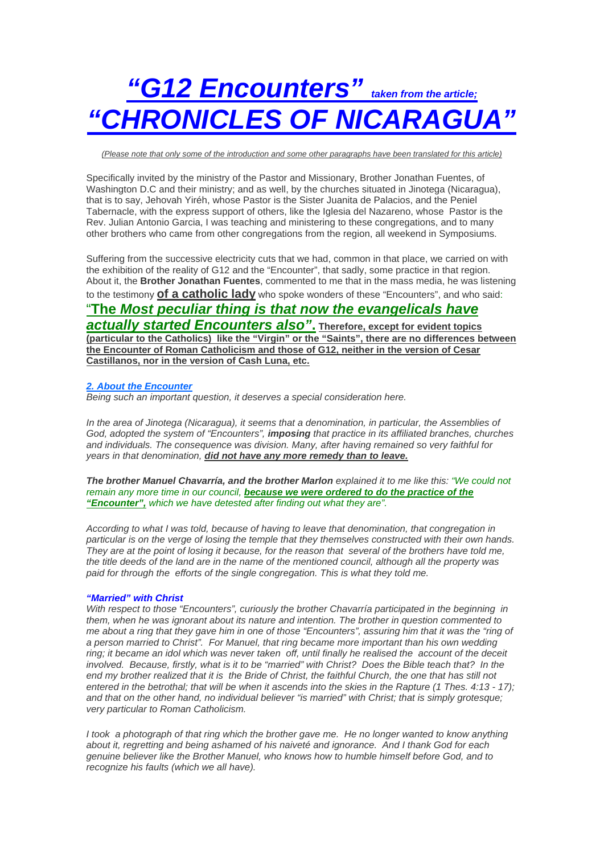# *"G12 Encounters" taken from the article; "CHRONICLES OF NICARAGUA"*

*(Please note that only some of the introduction and some other paragraphs have been translated for this article)*

Specifically invited by the ministry of the Pastor and Missionary, Brother Jonathan Fuentes, of Washington D.C and their ministry; and as well, by the churches situated in Jinotega (Nicaragua), that is to say, Jehovah Yiréh, whose Pastor is the Sister Juanita de Palacios, and the Peniel Tabernacle, with the express support of others, like the Iglesia del Nazareno, whose Pastor is the Rev. Julian Antonio Garcia, I was teaching and ministering to these congregations, and to many other brothers who came from other congregations from the region, all weekend in Symposiums.

Suffering from the successive electricity cuts that we had, common in that place, we carried on with the exhibition of the reality of G12 and the "Encounter", that sadly, some practice in that region. About it, the **Brother Jonathan Fuentes**, commented to me that in the mass media, he was listening to the testimony **of a catholic lady** who spoke wonders of these "Encounters", and who said:

# "**The** *Most peculiar thing is that now the evangelicals have*

*actually started Encounters also"***. Therefore, except for evident topics (particular to the Catholics) like the "Virgin" or the "Saints", there are no differences between the Encounter of Roman Catholicism and those of G12, neither in the version of Cesar Castillanos, nor in the version of Cash Luna, etc.**

# *2. About the Encounter*

*Being such an important question, it deserves a special consideration here.* 

*In the area of Jinotega (Nicaragua), it seems that a denomination, in particular, the Assemblies of God, adopted the system of "Encounters", imposing that practice in its affiliated branches, churches and individuals. The consequence was division. Many, after having remained so very faithful for years in that denomination, did not have any more remedy than to leave.*

*The brother Manuel Chavarría, and the brother Marlon explained it to me like this: "We could not remain any more time in our council, because we were ordered to do the practice of the "Encounter", which we have detested after finding out what they are".*

*According to what I was told, because of having to leave that denomination, that congregation in particular is on the verge of losing the temple that they themselves constructed with their own hands. They are at the point of losing it because, for the reason that several of the brothers have told me, the title deeds of the land are in the name of the mentioned council, although all the property was*  paid for through the efforts of the single congregation. This is what they told me.

# *"Married" with Christ*

*With respect to those "Encounters", curiously the brother Chavarría participated in the beginning in them, when he was ignorant about its nature and intention. The brother in question commented to me about a ring that they gave him in one of those "Encounters", assuring him that it was the "ring of a person married to Christ". For Manuel, that ring became more important than his own wedding ring; it became an idol which was never taken off, until finally he realised the account of the deceit involved. Because, firstly, what is it to be "married" with Christ? Does the Bible teach that? In the*  end my brother realized that it is the Bride of Christ, the faithful Church, the one that has still not *entered in the betrothal; that will be when it ascends into the skies in the Rapture (1 Thes. 4:13 - 17); and that on the other hand, no individual believer "is married" with Christ; that is simply grotesque; very particular to Roman Catholicism.* 

*I* took a photograph of that ring which the brother gave me. He no longer wanted to know anything *about it, regretting and being ashamed of his naiveté and ignorance. And I thank God for each genuine believer like the Brother Manuel, who knows how to humble himself before God, and to recognize his faults (which we all have).*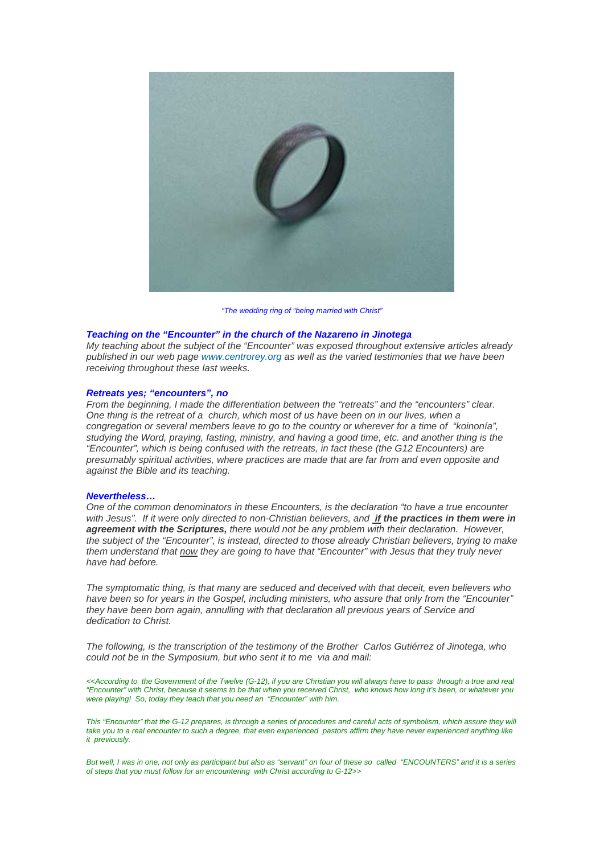

*"The wedding ring of "being married with Christ"*

# *Teaching on the "Encounter" in the church of the Nazareno in Jinotega*

*My teaching about the subject of the "Encounter" was exposed throughout extensive articles already published in our web page [www.centrorey.org](http://www.centrorey.org/) as well as the varied testimonies that we have been receiving throughout these last weeks.* 

# *Retreats yes; "encounters", no*

*From the beginning, I made the differentiation between the "retreats" and the "encounters" clear. One thing is the retreat of a church, which most of us have been on in our lives, when a congregation or several members leave to go to the country or wherever for a time of "koinonía", studying the Word, praying, fasting, ministry, and having a good time, etc. and another thing is the "Encounter", which is being confused with the retreats, in fact these (the G12 Encounters) are presumably spiritual activities, where practices are made that are far from and even opposite and against the Bible and its teaching.* 

#### *Nevertheless…*

*One of the common denominators in these Encounters, is the declaration "to have a true encounter*  with Jesus". If it were only directed to non-Christian believers, and *if the practices in them were in agreement with the Scriptures, there would not be any problem with their declaration. However, the subject of the "Encounter", is instead, directed to those already Christian believers, trying to make them understand that now they are going to have that "Encounter" with Jesus that they truly never have had before.* 

*The symptomatic thing, is that many are seduced and deceived with that deceit, even believers who have been so for years in the Gospel, including ministers, who assure that only from the "Encounter" they have been born again, annulling with that declaration all previous years of Service and dedication to Christ.* 

*The following, is the transcription of the testimony of the Brother Carlos Gutiérrez of Jinotega, who could not be in the Symposium, but who sent it to me via and mail:* 

*<<According to the Government of the Twelve (G-12), if you are Christian you will always have to pass through a true and real "Encounter" with Christ, because it seems to be that when you received Christ, who knows how long it's been, or whatever you were playing! So, today they teach that you need an "Encounter" with him.* 

This "Encounter" that the G-12 prepares, is through a series of procedures and careful acts of symbolism, which assure they will *take you to a real encounter to such a degree, that even experienced pastors affirm they have never experienced anything like it previously.* 

*But well, I was in one, not only as participant but also as "servant" on four of these so called "ENCOUNTERS" and it is a series of steps that you must follow for an encountering with Christ according to G-12>>*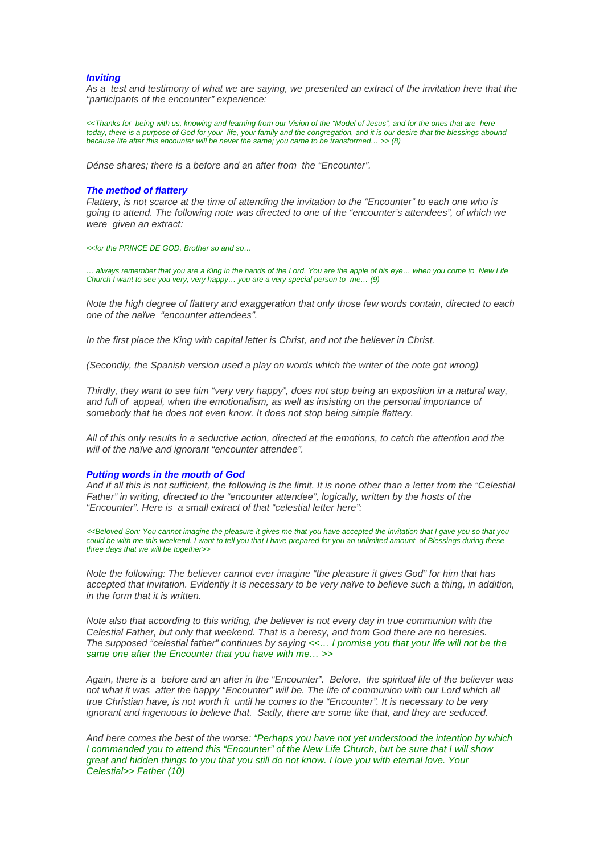#### *Inviting*

As a test and testimony of what we are saying, we presented an extract of the invitation here that the *"participants of the encounter" experience:* 

*<<Thanks for being with us, knowing and learning from our Vision of the "Model of Jesus", and for the ones that are here today, there is a purpose of God for your life, your family and the congregation, and it is our desire that the blessings abound because life after this encounter will be never the same; you came to be transformed… >> (8)* 

*Dénse shares; there is a before and an after from the "Encounter".* 

#### *The method of flattery*

*Flattery, is not scarce at the time of attending the invitation to the "Encounter" to each one who is going to attend. The following note was directed to one of the "encounter's attendees", of which we were given an extract:* 

*<<for the PRINCE DE GOD, Brother so and so…*

*… always remember that you are a King in the hands of the Lord. You are the apple of his eye… when you come to New Life Church I want to see you very, very happy… you are a very special person to me… (9)* 

*Note the high degree of flattery and exaggeration that only those few words contain, directed to each one of the naïve "encounter attendees".* 

*In the first place the King with capital letter is Christ, and not the believer in Christ.* 

*(Secondly, the Spanish version used a play on words which the writer of the note got wrong)* 

*Thirdly, they want to see him "very very happy", does not stop being an exposition in a natural way, and full of appeal, when the emotionalism, as well as insisting on the personal importance of somebody that he does not even know. It does not stop being simple flattery.* 

*All of this only results in a seductive action, directed at the emotions, to catch the attention and the will of the naïve and ignorant "encounter attendee".* 

#### *Putting words in the mouth of God*

*And if all this is not sufficient, the following is the limit. It is none other than a letter from the "Celestial Father" in writing, directed to the "encounter attendee", logically, written by the hosts of the "Encounter". Here is a small extract of that "celestial letter here":* 

*<<Beloved Son: You cannot imagine the pleasure it gives me that you have accepted the invitation that I gave you so that you*  could be with me this weekend. I want to tell you that I have prepared for you an unlimited amount of Blessings during these *three days that we will be together>>*

*Note the following: The believer cannot ever imagine "the pleasure it gives God" for him that has*  accepted that invitation. Evidently it is necessary to be very naïve to believe such a thing, in addition, *in the form that it is written.* 

*Note also that according to this writing, the believer is not every day in true communion with the Celestial Father, but only that weekend. That is a heresy, and from God there are no heresies. The supposed "celestial father" continues by saying <<… I promise you that your life will not be the same one after the Encounter that you have with me… >>* 

*Again, there is a before and an after in the "Encounter". Before, the spiritual life of the believer was*  not what it was after the happy "Encounter" will be. The life of communion with our Lord which all *true Christian have, is not worth it until he comes to the "Encounter". It is necessary to be very ignorant and ingenuous to believe that. Sadly, there are some like that, and they are seduced.* 

*And here comes the best of the worse: "Perhaps you have not yet understood the intention by which I commanded you to attend this "Encounter" of the New Life Church, but be sure that I will show great and hidden things to you that you still do not know. I love you with eternal love. Your Celestial>> Father (10)*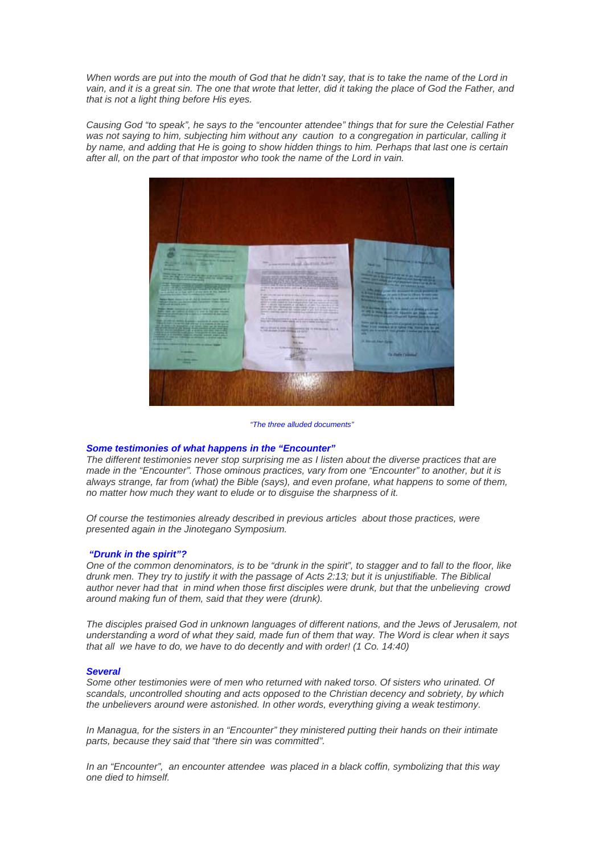*When words are put into the mouth of God that he didn't say, that is to take the name of the Lord in vain, and it is a great sin. The one that wrote that letter, did it taking the place of God the Father, and that is not a light thing before His eyes.* 

*Causing God "to speak", he says to the "encounter attendee" things that for sure the Celestial Father was not saying to him, subjecting him without any caution to a congregation in particular, calling it by name, and adding that He is going to show hidden things to him. Perhaps that last one is certain after all, on the part of that impostor who took the name of the Lord in vain.* 



*"The three alluded documents"*

# *Some testimonies of what happens in the "Encounter"*

*The different testimonies never stop surprising me as I listen about the diverse practices that are made in the "Encounter". Those ominous practices, vary from one "Encounter" to another, but it is always strange, far from (what) the Bible (says), and even profane, what happens to some of them, no matter how much they want to elude or to disguise the sharpness of it.* 

*Of course the testimonies already described in previous articles about those practices, were presented again in the Jinotegano Symposium.* 

#### *"Drunk in the spirit"?*

*One of the common denominators, is to be "drunk in the spirit", to stagger and to fall to the floor, like drunk men. They try to justify it with the passage of Acts 2:13; but it is unjustifiable. The Biblical author never had that in mind when those first disciples were drunk, but that the unbelieving crowd around making fun of them, said that they were (drunk).* 

*The disciples praised God in unknown languages of different nations, and the Jews of Jerusalem, not understanding a word of what they said, made fun of them that way. The Word is clear when it says that all we have to do, we have to do decently and with order! (1 Co. 14:40)* 

#### *Several*

Some other testimonies were of men who returned with naked torso. Of sisters who urinated. Of *scandals, uncontrolled shouting and acts opposed to the Christian decency and sobriety, by which the unbelievers around were astonished. In other words, everything giving a weak testimony.* 

*In Managua, for the sisters in an "Encounter" they ministered putting their hands on their intimate parts, because they said that "there sin was committed".* 

*In an "Encounter", an encounter attendee was placed in a black coffin, symbolizing that this way one died to himself.*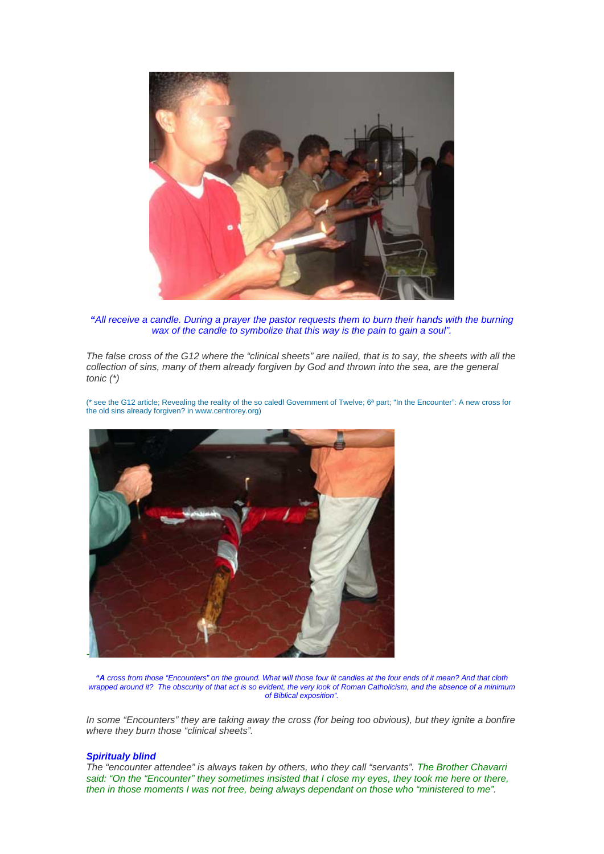

*"All receive a candle. During a prayer the pastor requests them to burn their hands with the burning wax of the candle to symbolize that this way is the pain to gain a soul".*

*The false cross of the G12 where the "clinical sheets" are nailed, that is to say, the sheets with all the*  collection of sins, many of them already forgiven by God and thrown into the sea, are the general *tonic (\*)* 

[\(\\* see the G12 article; Revealing the reality of the so caledl Government of Twelve; 6ª part; "In the Encounter": A new cross for](http://(*%20see%20the%20G12%20article;%20Revealing%20the%20reality%20of%20the%20so%20caledl%20Government%20of%20Twelve;%206%C2%AA%20part;%20%E2%80%9CIn%20the%20Encounter%E2%80%9D:%20A%20new%20cross%20for%20the%20old%20sins%20already%20forgiven?%20in%20www.centrorey.org))  [the old sins already forgiven? in www.centrorey.org\)](http://(*%20see%20the%20G12%20article;%20Revealing%20the%20reality%20of%20the%20so%20caledl%20Government%20of%20Twelve;%206%C2%AA%20part;%20%E2%80%9CIn%20the%20Encounter%E2%80%9D:%20A%20new%20cross%20for%20the%20old%20sins%20already%20forgiven?%20in%20www.centrorey.org))



*"A cross from those "Encounters" on the ground. What will those four lit candles at the four ends of it mean? And that cloth wrapped around it? The obscurity of that act is so evident, the very look of Roman Catholicism, and the absence of a minimum of Biblical exposition".* 

*In some "Encounters" they are taking away the cross (for being too obvious), but they ignite a bonfire where they burn those "clinical sheets".* 

#### *Spiritualy blind*

*The "encounter attendee" is always taken by others, who they call "servants". The Brother Chavarri said: "On the "Encounter" they sometimes insisted that I close my eyes, they took me here or there, then in those moments I was not free, being always dependant on those who "ministered to me".*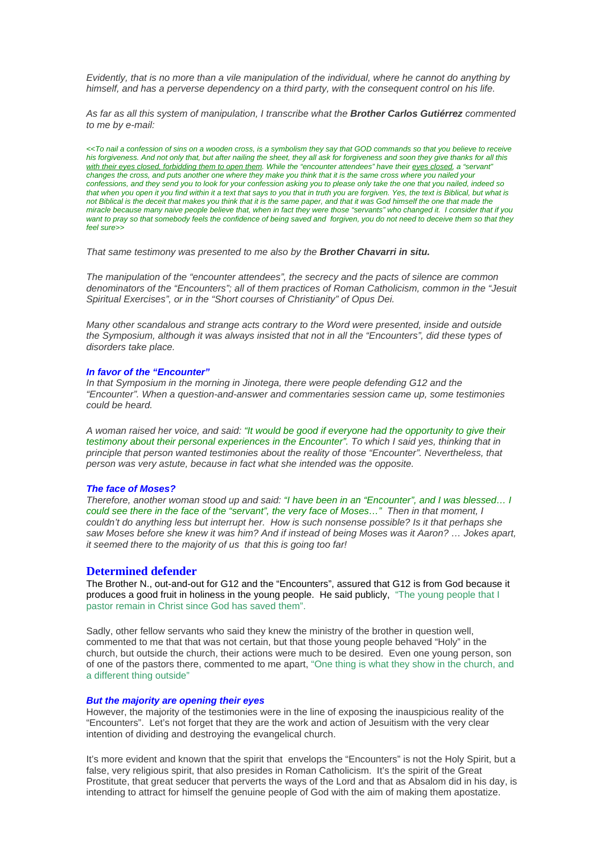*Evidently, that is no more than a vile manipulation of the individual, where he cannot do anything by himself, and has a perverse dependency on a third party, with the consequent control on his life.* 

*As far as all this system of manipulation, I transcribe what the Brother Carlos Gutiérrez commented to me by e-mail:* 

*<<To nail a confession of sins on a wooden cross, is a symbolism they say that GOD commands so that you believe to receive his forgiveness. And not only that, but after nailing the sheet, they all ask for forgiveness and soon they give thanks for all this*  with their eyes closed, forbidding them to open them. While the "encounter attendees" have their eyes closed, a "servant" *changes the cross, and puts another one where they make you think that it is the same cross where you nailed your confessions, and they send you to look for your confession asking you to please only take the one that you nailed, indeed so*  that when you open it you find within it a text that says to you that in truth you are forgiven. Yes, the text is Biblical, but what is *not Biblical is the deceit that makes you think that it is the same paper, and that it was God himself the one that made the miracle because many naive people believe that, when in fact they were those "servants" who changed it. I consider that if you want to pray so that somebody feels the confidence of being saved and forgiven, you do not need to deceive them so that they feel sure>>* 

*That same testimony was presented to me also by the Brother Chavarri in situ.* 

*The manipulation of the "encounter attendees", the secrecy and the pacts of silence are common denominators of the "Encounters"; all of them practices of Roman Catholicism, common in the "Jesuit Spiritual Exercises", or in the "Short courses of Christianity" of Opus Dei.* 

*Many other scandalous and strange acts contrary to the Word were presented, inside and outside the Symposium, although it was always insisted that not in all the "Encounters", did these types of disorders take place.* 

#### *In favor of the "Encounter"*

*In that Symposium in the morning in Jinotega, there were people defending G12 and the "Encounter". When a question-and-answer and commentaries session came up, some testimonies could be heard.* 

*A woman raised her voice, and said: "It would be good if everyone had the opportunity to give their testimony about their personal experiences in the Encounter". To which I said yes, thinking that in principle that person wanted testimonies about the reality of those "Encounter". Nevertheless, that person was very astute, because in fact what she intended was the opposite.*

#### *The face of Moses?*

*Therefore, another woman stood up and said: "I have been in an "Encounter", and I was blessed… I could see there in the face of the "servant", the very face of Moses…" Then in that moment, I couldn't do anything less but interrupt her. How is such nonsense possible? Is it that perhaps she saw Moses before she knew it was him? And if instead of being Moses was it Aaron? … Jokes apart, it seemed there to the majority of us that this is going too far!* 

# **Determined defender**

The Brother N., out-and-out for G12 and the "Encounters", assured that G12 is from God because it produces a good fruit in holiness in the young people. He said publicly, "The young people that I pastor remain in Christ since God has saved them".

Sadly, other fellow servants who said they knew the ministry of the brother in question well, commented to me that that was not certain, but that those young people behaved "Holy" in the church, but outside the church, their actions were much to be desired. Even one young person, son of one of the pastors there, commented to me apart, "One thing is what they show in the church, and a different thing outside"

# *But the majority are opening their eyes*

However, the majority of the testimonies were in the line of exposing the inauspicious reality of the "Encounters". Let's not forget that they are the work and action of Jesuitism with the very clear intention of dividing and destroying the evangelical church.

It's more evident and known that the spirit that envelops the "Encounters" is not the Holy Spirit, but a false, very religious spirit, that also presides in Roman Catholicism. It's the spirit of the Great Prostitute, that great seducer that perverts the ways of the Lord and that as Absalom did in his day, is intending to attract for himself the genuine people of God with the aim of making them apostatize.